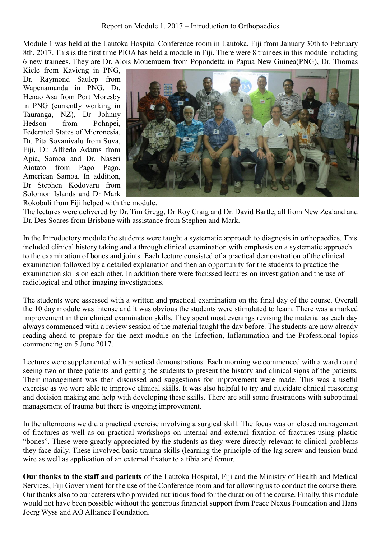Module 1 was held at the Lautoka Hospital Conference room in Lautoka, Fiji from January 30th to February 8th, 2017. This is the first time PIOA has held a module in Fiji. There were 8 trainees in this module including 6 new trainees. They are Dr. Alois Mouemuem from Popondetta in Papua New Guinea(PNG), Dr. Thomas

Kiele from Kavieng in PNG, Dr. Raymond Saulep from Wapenamanda in PNG, Dr. Henao Asa from Port Moresby in PNG (currently working in Tauranga, NZ), Dr Johnny Hedson from Pohnpei, Federated States of Micronesia, Dr. Pita Sovanivalu from Suva, Fiji, Dr. Alfredo Adams from Apia, Samoa and Dr. Naseri Aiotato from Pago Pago, American Samoa. In addition, Dr Stephen Kodovaru from Solomon Islands and Dr Mark



Rokobuli from Fiji helped with the module.

The lectures were delivered by Dr. Tim Gregg, Dr Roy Craig and Dr. David Bartle, all from New Zealand and Dr. Des Soares from Brisbane with assistance from Stephen and Mark.

In the Introductory module the students were taught a systematic approach to diagnosis in orthopaedics. This included clinical history taking and a through clinical examination with emphasis on a systematic approach to the examination of bones and joints. Each lecture consisted of a practical demonstration of the clinical examination followed by a detailed explanation and then an opportunity for the students to practice the examination skills on each other. In addition there were focussed lectures on investigation and the use of radiological and other imaging investigations.

The students were assessed with a written and practical examination on the final day of the course. Overall the 10 day module was intense and it was obvious the students were stimulated to learn. There was a marked improvement in their clinical examination skills. They spent most evenings revising the material as each day always commenced with a review session of the material taught the day before. The students are now already reading ahead to prepare for the next module on the Infection, Inflammation and the Professional topics commencing on 5 June 2017.

Lectures were supplemented with practical demonstrations. Each morning we commenced with a ward round seeing two or three patients and getting the students to present the history and clinical signs of the patients. Their management was then discussed and suggestions for improvement were made. This was a useful exercise as we were able to improve clinical skills. It was also helpful to try and elucidate clinical reasoning and decision making and help with developing these skills. There are still some frustrations with suboptimal management of trauma but there is ongoing improvement.

In the afternoons we did a practical exercise involving a surgical skill. The focus was on closed management of fractures as well as on practical workshops on internal and external fixation of fractures using plastic "bones". These were greatly appreciated by the students as they were directly relevant to clinical problems they face daily. These involved basic trauma skills (learning the principle of the lag screw and tension band wire as well as application of an external fixator to a tibia and femur.

**Our thanks to the staff and patients** of the Lautoka Hospital, Fiji and the Ministry of Health and Medical Services, Fiji Government for the use of the Conference room and for allowing us to conduct the course there. Our thanks also to our caterers who provided nutritious food for the duration of the course. Finally, this module would not have been possible without the generous financial support from Peace Nexus Foundation and Hans Joerg Wyss and AO Alliance Foundation.